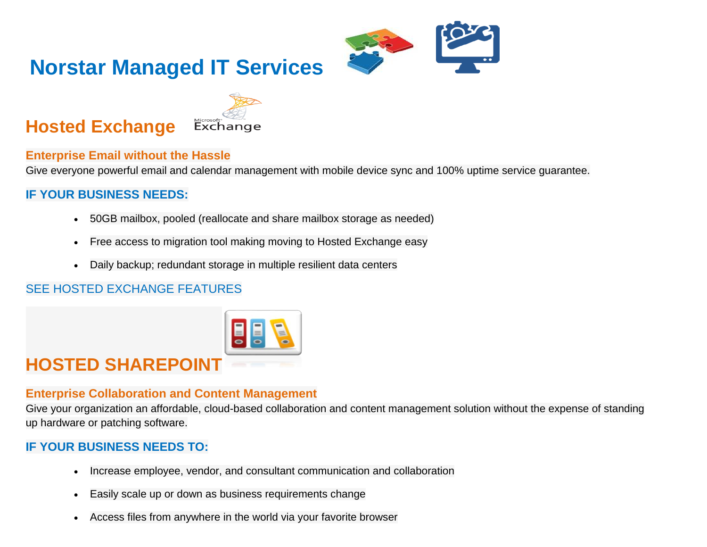

# **Norstar Managed IT Services**



# **Hosted Exchange**

### **Enterprise Email without the Hassle**

Give everyone powerful email and calendar management with mobile device sync and 100% uptime service guarantee.

#### **IF YOUR BUSINESS NEEDS:**

- 50GB mailbox, pooled (reallocate and share mailbox storage as needed)
- Free access to migration tool making moving to Hosted Exchange easy
- Daily backup; redundant storage in multiple resilient data centers

### SEE HOSTED EXCHANGE FEATURES



# **HOSTED SHAREPOINT**

#### **Enterprise Collaboration and Content Management**

Give your organization an affordable, cloud-based collaboration and content management solution without the expense of standing up hardware or patching software.

### **IF YOUR BUSINESS NEEDS TO:**

- Increase employee, vendor, and consultant communication and collaboration
- Easily scale up or down as business requirements change
- Access files from anywhere in the world via your favorite browser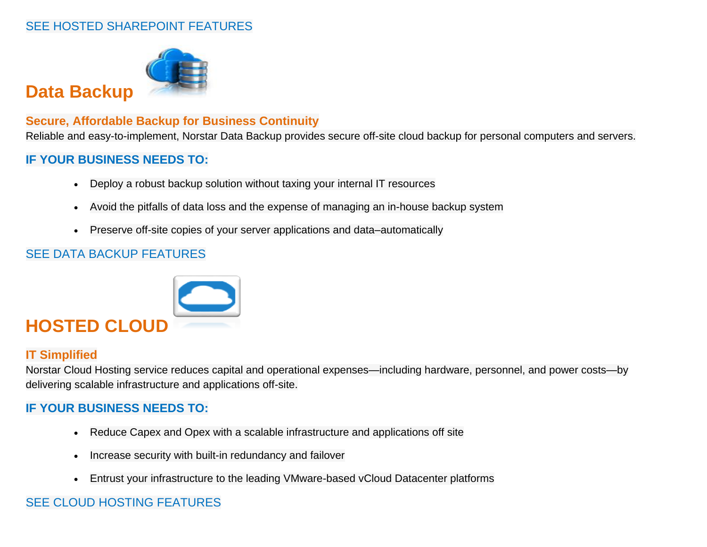### SEE HOSTED SHAREPOINT FEATURES



### **Secure, Affordable Backup for Business Continuity**

Reliable and easy-to-implement, Norstar Data Backup provides secure off-site cloud backup for personal computers and servers.

#### **IF YOUR BUSINESS NEEDS TO:**

**Data Backup**

- Deploy a robust backup solution without taxing your internal IT resources
- Avoid the pitfalls of data loss and the expense of managing an in-house backup system
- Preserve off-site copies of your server applications and data–automatically

## SEE DATA BACKUP FEATURES



#### **IT Simplified**

Norstar Cloud Hosting service reduces capital and operational expenses—including hardware, personnel, and power costs—by delivering scalable infrastructure and applications off-site.

# **IF YOUR BUSINESS NEEDS TO:**

- Reduce Capex and Opex with a scalable infrastructure and applications off site
- Increase security with built-in redundancy and failover
- Entrust your infrastructure to the leading VMware-based vCloud Datacenter platforms

# SEE CLOUD HOSTING FEATURES